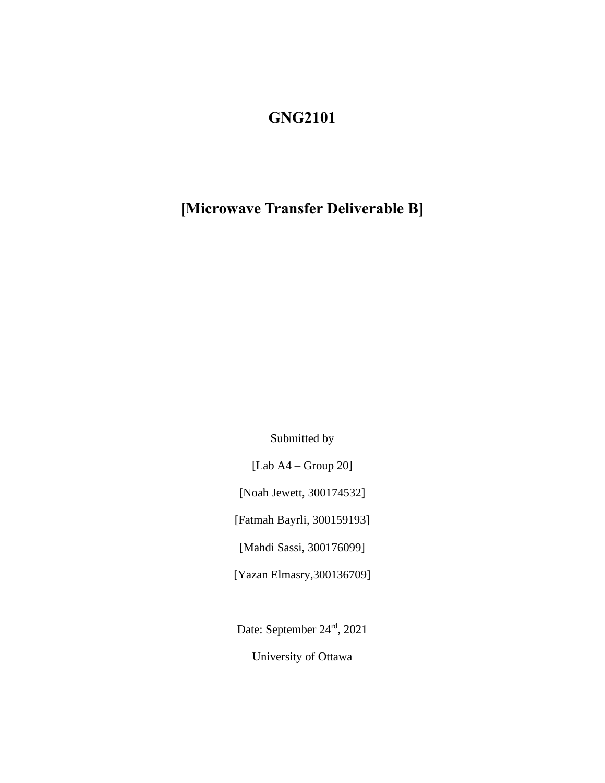## **GNG2101**

## **[Microwave Transfer Deliverable B]**

Submitted by

[Lab A4 – Group 20]

[Noah Jewett, 300174532]

[Fatmah Bayrli, 300159193]

[Mahdi Sassi, 300176099]

[Yazan Elmasry,300136709]

Date: September 24<sup>rd</sup>, 2021

University of Ottawa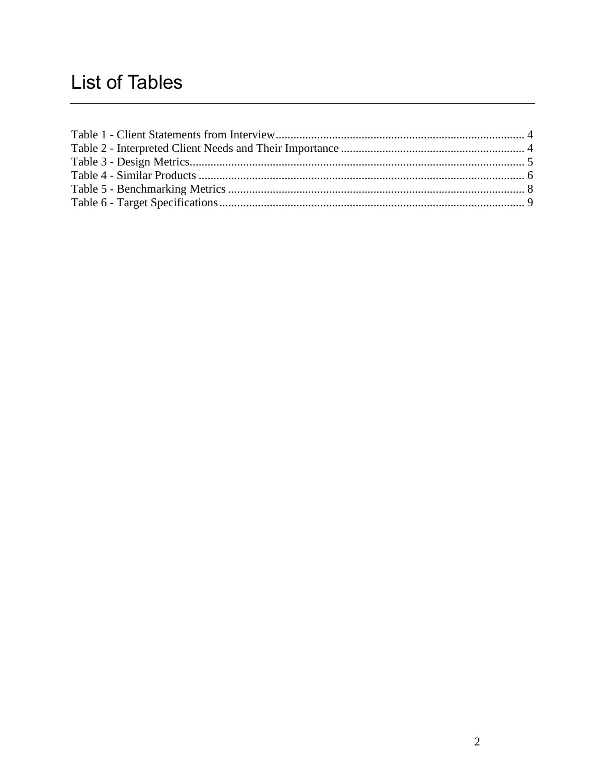# **List of Tables**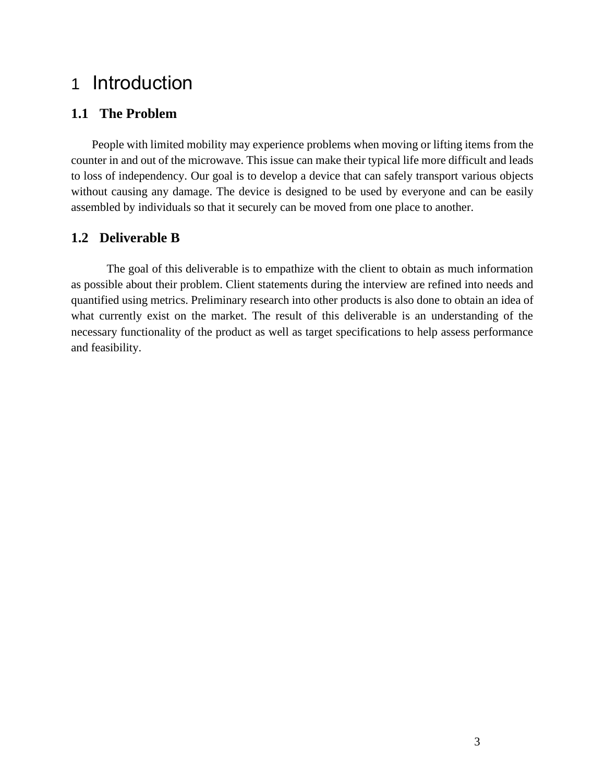# 1 Introduction

#### **1.1 The Problem**

 People with limited mobility may experience problems when moving or lifting items from the counter in and out of the microwave. This issue can make their typical life more difficult and leads to loss of independency. Our goal is to develop a device that can safely transport various objects without causing any damage. The device is designed to be used by everyone and can be easily assembled by individuals so that it securely can be moved from one place to another.

#### **1.2 Deliverable B**

The goal of this deliverable is to empathize with the client to obtain as much information as possible about their problem. Client statements during the interview are refined into needs and quantified using metrics. Preliminary research into other products is also done to obtain an idea of what currently exist on the market. The result of this deliverable is an understanding of the necessary functionality of the product as well as target specifications to help assess performance and feasibility.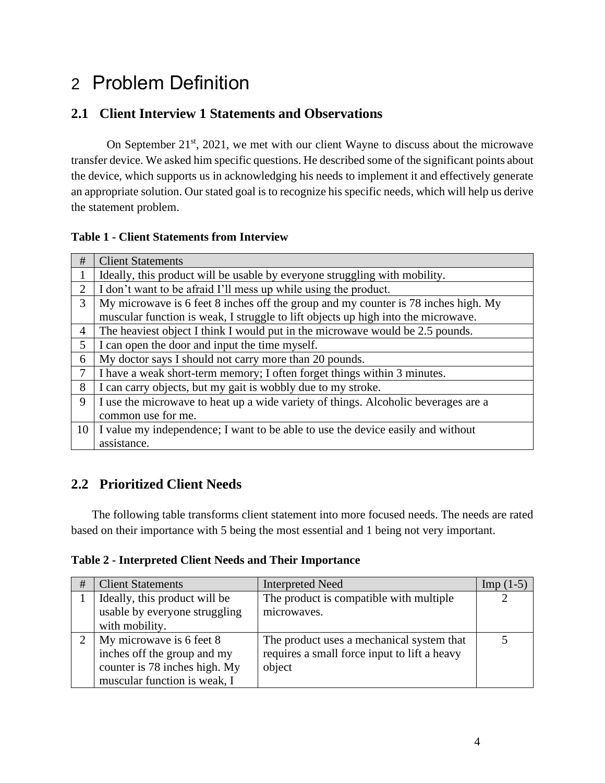# 2 Problem Definition

## **2.1 Client Interview 1 Statements and Observations**

On September 21<sup>st</sup>, 2021, we met with our client Wayne to discuss about the microwave transfer device. We asked him specific questions. He described some of the significant points about the device, which supports us in acknowledging his needs to implement it and effectively generate an appropriate solution. Our stated goal is to recognize his specific needs, which will help us derive the statement problem.

#### <span id="page-3-0"></span>**Table 1 - Client Statements from Interview**

| #              | <b>Client Statements</b>                                                           |
|----------------|------------------------------------------------------------------------------------|
|                | Ideally, this product will be usable by everyone struggling with mobility.         |
| 2              | I don't want to be afraid I'll mess up while using the product.                    |
| 3              | My microwave is 6 feet 8 inches off the group and my counter is 78 inches high. My |
|                | muscular function is weak, I struggle to lift objects up high into the microwave.  |
| $\overline{4}$ | The heaviest object I think I would put in the microwave would be 2.5 pounds.      |
| 5              | I can open the door and input the time myself.                                     |
| 6              | My doctor says I should not carry more than 20 pounds.                             |
| $\tau$         | I have a weak short-term memory; I often forget things within 3 minutes.           |
| 8              | I can carry objects, but my gait is wobbly due to my stroke.                       |
| 9              | I use the microwave to heat up a wide variety of things. Alcoholic beverages are a |
|                | common use for me.                                                                 |
| 10             | I value my independence; I want to be able to use the device easily and without    |
|                | assistance.                                                                        |

### **2.2 Prioritized Client Needs**

 The following table transforms client statement into more focused needs. The needs are rated based on their importance with 5 being the most essential and 1 being not very important.

#### <span id="page-3-1"></span>**Table 2 - Interpreted Client Needs and Their Importance**

| # | <b>Client Statements</b>      | <b>Interpreted Need</b>                      | $\text{Imp}(1-5)$ |
|---|-------------------------------|----------------------------------------------|-------------------|
|   | Ideally, this product will be | The product is compatible with multiple      |                   |
|   | usable by everyone struggling | microwaves.                                  |                   |
|   | with mobility.                |                                              |                   |
|   | My microwave is 6 feet 8      | The product uses a mechanical system that    |                   |
|   | inches off the group and my   | requires a small force input to lift a heavy |                   |
|   | counter is 78 inches high. My | object                                       |                   |
|   | muscular function is weak, I  |                                              |                   |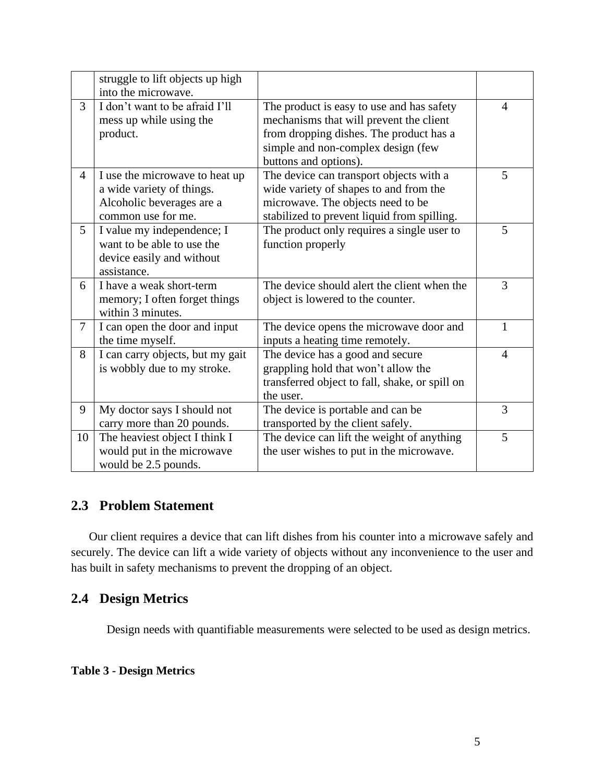|                | struggle to lift objects up high<br>into the microwave.                                                        |                                                                                                                                                                                                |                |
|----------------|----------------------------------------------------------------------------------------------------------------|------------------------------------------------------------------------------------------------------------------------------------------------------------------------------------------------|----------------|
| 3              | I don't want to be afraid I'll<br>mess up while using the<br>product.                                          | The product is easy to use and has safety<br>mechanisms that will prevent the client<br>from dropping dishes. The product has a<br>simple and non-complex design (few<br>buttons and options). | $\overline{4}$ |
| $\overline{4}$ | I use the microwave to heat up<br>a wide variety of things.<br>Alcoholic beverages are a<br>common use for me. | The device can transport objects with a<br>wide variety of shapes to and from the<br>microwave. The objects need to be<br>stabilized to prevent liquid from spilling.                          | 5              |
| 5              | I value my independence; I<br>want to be able to use the<br>device easily and without<br>assistance.           | The product only requires a single user to<br>function properly                                                                                                                                | 5              |
| 6              | I have a weak short-term<br>memory; I often forget things<br>within 3 minutes.                                 | The device should alert the client when the<br>object is lowered to the counter.                                                                                                               | 3              |
| $\overline{7}$ | I can open the door and input<br>the time myself.                                                              | The device opens the microwave door and<br>inputs a heating time remotely.                                                                                                                     | $\mathbf{1}$   |
| 8              | I can carry objects, but my gait<br>is wobbly due to my stroke.                                                | The device has a good and secure<br>grappling hold that won't allow the<br>transferred object to fall, shake, or spill on<br>the user.                                                         | $\overline{4}$ |
| 9              | My doctor says I should not<br>carry more than 20 pounds.                                                      | The device is portable and can be<br>transported by the client safely.                                                                                                                         | 3              |
| 10             | The heaviest object I think I<br>would put in the microwave<br>would be 2.5 pounds.                            | The device can lift the weight of anything<br>the user wishes to put in the microwave.                                                                                                         | 5              |

### **2.3 Problem Statement**

 Our client requires a device that can lift dishes from his counter into a microwave safely and securely. The device can lift a wide variety of objects without any inconvenience to the user and has built in safety mechanisms to prevent the dropping of an object.

#### **2.4 Design Metrics**

<span id="page-4-0"></span>Design needs with quantifiable measurements were selected to be used as design metrics.

#### **Table 3 - Design Metrics**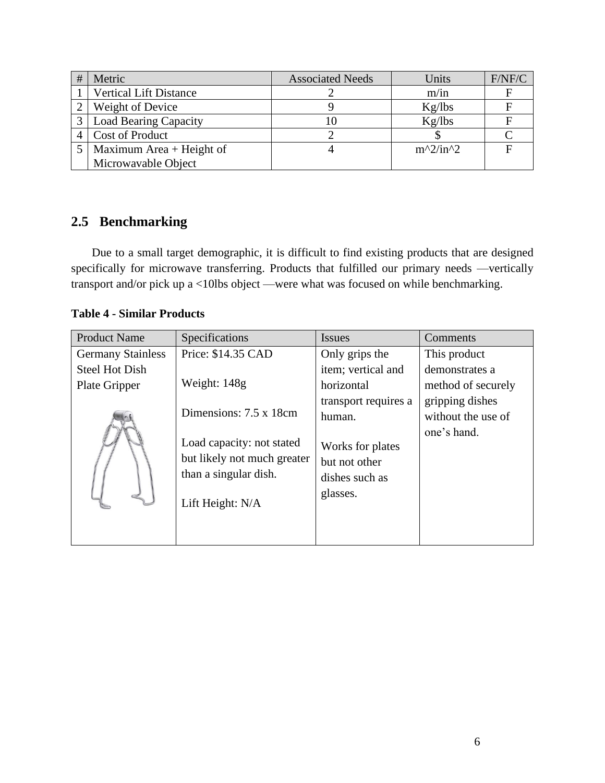| Metric                        | <b>Associated Needs</b> | Units      | F/NF/C |
|-------------------------------|-------------------------|------------|--------|
| <b>Vertical Lift Distance</b> |                         | m/in       |        |
| Weight of Device              |                         | Kg/lbs     |        |
| <b>Load Bearing Capacity</b>  | ΙU                      | Kg/lbs     |        |
| <b>Cost of Product</b>        |                         |            |        |
| Maximum Area + Height of      |                         | $m^2/in^2$ |        |
| Microwavable Object           |                         |            |        |

## **2.5 Benchmarking**

 Due to a small target demographic, it is difficult to find existing products that are designed specifically for microwave transferring. Products that fulfilled our primary needs —vertically transport and/or pick up a <10lbs object —were what was focused on while benchmarking.

#### <span id="page-5-0"></span>**Table 4 - Similar Products**

| <b>Product Name</b>      | Specifications                                                                                        | Issues                                                          | Comments           |
|--------------------------|-------------------------------------------------------------------------------------------------------|-----------------------------------------------------------------|--------------------|
| <b>Germany Stainless</b> | Price: \$14.35 CAD                                                                                    | Only grips the                                                  | This product       |
| <b>Steel Hot Dish</b>    |                                                                                                       | item; vertical and                                              | demonstrates a     |
| Plate Gripper            | Weight: 148g                                                                                          | horizontal                                                      | method of securely |
|                          |                                                                                                       | transport requires a                                            | gripping dishes    |
|                          | Dimensions: 7.5 x 18cm                                                                                | human.                                                          | without the use of |
|                          | Load capacity: not stated<br>but likely not much greater<br>than a singular dish.<br>Lift Height: N/A | Works for plates<br>but not other<br>dishes such as<br>glasses. | one's hand.        |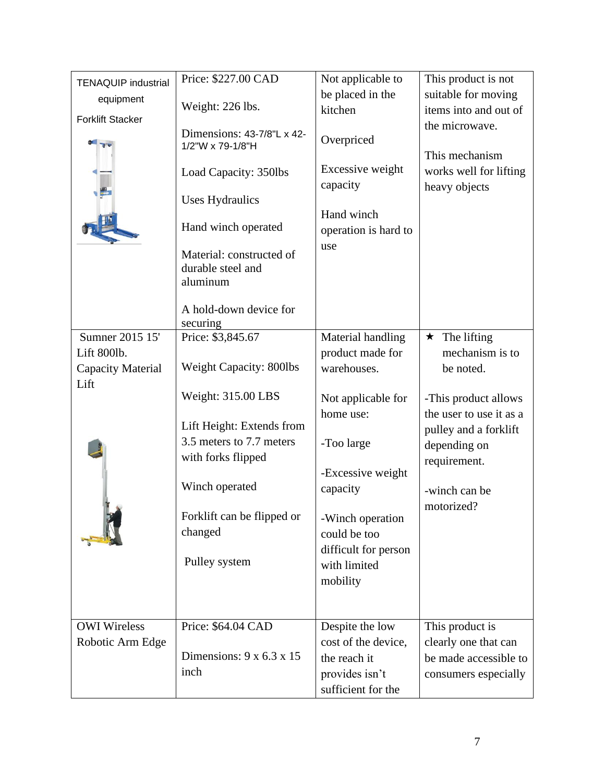| <b>TENAQUIP industrial</b>     | Price: \$227.00 CAD                                                                                                                                                                   | Not applicable to                                                                       | This product is not                                                         |
|--------------------------------|---------------------------------------------------------------------------------------------------------------------------------------------------------------------------------------|-----------------------------------------------------------------------------------------|-----------------------------------------------------------------------------|
| equipment                      |                                                                                                                                                                                       | be placed in the                                                                        | suitable for moving                                                         |
|                                | Weight: 226 lbs.                                                                                                                                                                      | kitchen                                                                                 | items into and out of                                                       |
| <b>Forklift Stacker</b>        | Dimensions: 43-7/8"L x 42-<br>1/2"W x 79-1/8"H<br>Load Capacity: 350lbs<br><b>Uses Hydraulics</b><br>Hand winch operated<br>Material: constructed of<br>durable steel and<br>aluminum | Overpriced<br>Excessive weight<br>capacity<br>Hand winch<br>operation is hard to<br>use | the microwave.<br>This mechanism<br>works well for lifting<br>heavy objects |
|                                | A hold-down device for<br>securing                                                                                                                                                    |                                                                                         |                                                                             |
| Sumner 2015 15'<br>Lift 800lb. | Price: \$3,845.67                                                                                                                                                                     | Material handling<br>product made for                                                   | The lifting<br>$\star$<br>mechanism is to                                   |
| Capacity Material              | Weight Capacity: 800lbs                                                                                                                                                               | warehouses.                                                                             | be noted.                                                                   |
| Lift                           | Weight: 315.00 LBS                                                                                                                                                                    | Not applicable for<br>home use:                                                         | -This product allows<br>the user to use it as a                             |
|                                | Lift Height: Extends from<br>3.5 meters to 7.7 meters<br>with forks flipped                                                                                                           | -Too large                                                                              | pulley and a forklift<br>depending on<br>requirement.                       |
|                                | Winch operated                                                                                                                                                                        | -Excessive weight<br>capacity                                                           | -winch can be<br>motorized?                                                 |
|                                | Forklift can be flipped or<br>changed                                                                                                                                                 | -Winch operation<br>could be too                                                        |                                                                             |
|                                | Pulley system                                                                                                                                                                         | difficult for person<br>with limited<br>mobility                                        |                                                                             |
| <b>OWI</b> Wireless            | Price: \$64.04 CAD                                                                                                                                                                    | Despite the low                                                                         | This product is                                                             |
| Robotic Arm Edge               |                                                                                                                                                                                       | cost of the device,                                                                     | clearly one that can                                                        |
|                                | Dimensions: $9 \times 6.3 \times 15$                                                                                                                                                  | the reach it                                                                            | be made accessible to                                                       |
|                                | inch                                                                                                                                                                                  | provides isn't<br>sufficient for the                                                    | consumers especially                                                        |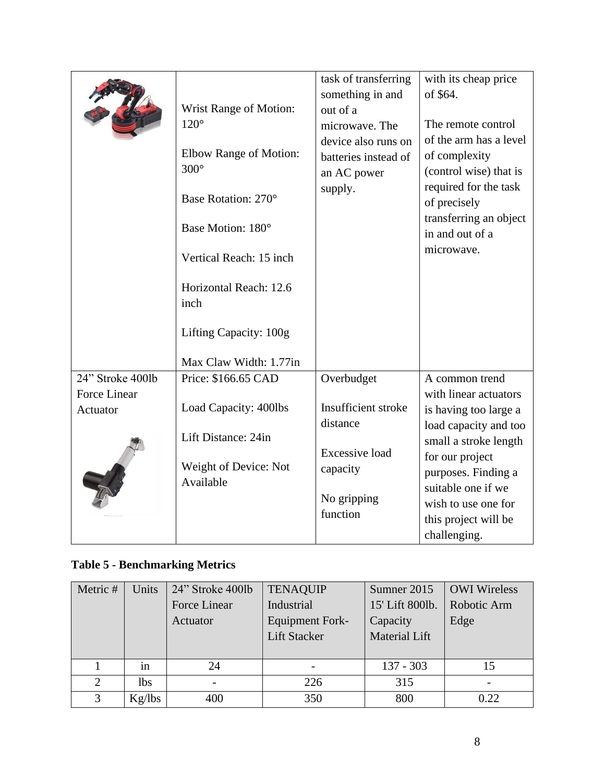| task of transferring<br>with its cheap price<br>something in and<br>of \$64.<br><b>Wrist Range of Motion:</b><br>out of a<br>$120^\circ$<br>The remote control<br>microwave. The<br>of the arm has a level<br>device also runs on<br>Elbow Range of Motion:<br>of complexity<br>batteries instead of<br>$300^\circ$<br>(control wise) that is<br>an AC power<br>required for the task<br>supply.<br>Base Rotation: 270°<br>of precisely<br>transferring an object<br>Base Motion: 180°<br>in and out of a<br>microwave.<br>Vertical Reach: 15 inch<br>Horizontal Reach: 12.6<br>inch<br>Lifting Capacity: 100g<br>Max Claw Width: 1.77in |  |
|------------------------------------------------------------------------------------------------------------------------------------------------------------------------------------------------------------------------------------------------------------------------------------------------------------------------------------------------------------------------------------------------------------------------------------------------------------------------------------------------------------------------------------------------------------------------------------------------------------------------------------------|--|
| 24" Stroke 400lb<br>Price: \$166.65 CAD<br>Overbudget<br>A common trend                                                                                                                                                                                                                                                                                                                                                                                                                                                                                                                                                                  |  |
| Force Linear<br>with linear actuators                                                                                                                                                                                                                                                                                                                                                                                                                                                                                                                                                                                                    |  |
| Insufficient stroke<br>Load Capacity: 400lbs<br>is having too large a<br>Actuator                                                                                                                                                                                                                                                                                                                                                                                                                                                                                                                                                        |  |
| distance<br>load capacity and too                                                                                                                                                                                                                                                                                                                                                                                                                                                                                                                                                                                                        |  |
| Lift Distance: 24in                                                                                                                                                                                                                                                                                                                                                                                                                                                                                                                                                                                                                      |  |
| small a stroke length<br><b>Excessive load</b>                                                                                                                                                                                                                                                                                                                                                                                                                                                                                                                                                                                           |  |
| for our project<br>Weight of Device: Not<br>capacity                                                                                                                                                                                                                                                                                                                                                                                                                                                                                                                                                                                     |  |
| purposes. Finding a<br>Available<br>suitable one if we                                                                                                                                                                                                                                                                                                                                                                                                                                                                                                                                                                                   |  |
| No gripping<br>wish to use one for                                                                                                                                                                                                                                                                                                                                                                                                                                                                                                                                                                                                       |  |
|                                                                                                                                                                                                                                                                                                                                                                                                                                                                                                                                                                                                                                          |  |
| function<br>this project will be                                                                                                                                                                                                                                                                                                                                                                                                                                                                                                                                                                                                         |  |

## <span id="page-7-0"></span>**Table 5 - Benchmarking Metrics**

| Metric # | Units      | 24" Stroke 4001b | <b>TENAQUIP</b>        | Sumner 2015          | <b>OWI</b> Wireless |
|----------|------------|------------------|------------------------|----------------------|---------------------|
|          |            | Force Linear     | Industrial             | 15' Lift 800lb.      | Robotic Arm         |
|          |            | Actuator         | <b>Equipment Fork-</b> | Capacity             | Edge                |
|          |            |                  | <b>Lift Stacker</b>    | <b>Material Lift</b> |                     |
|          |            |                  |                        |                      |                     |
|          | 1n         | 24               |                        | $137 - 303$          | 15                  |
|          | <b>lbs</b> |                  | 226                    | 315                  |                     |
| 3        | Kg/lbs     | 400              | 350                    | 800                  | 0.22                |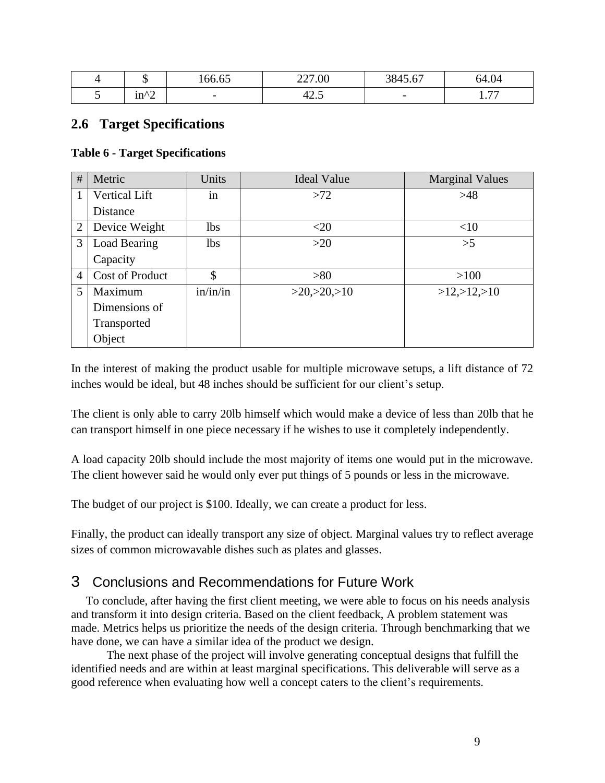|   |                       | $\sim$ $\sim$<br>$\epsilon$<br>100.03 | 227.00            | 2015<br>$\sqrt{2}$<br>3043.07 | 64.04                         |
|---|-----------------------|---------------------------------------|-------------------|-------------------------------|-------------------------------|
| ັ | $in^{\wedge\uparrow}$ | $\sim$                                | $\sqrt{2}$<br>4∠. | $\overline{\phantom{0}}$      | $\overline{a}$<br><b>L.II</b> |

#### **2.6 Target Specifications**

#### <span id="page-8-0"></span>**Table 6 - Target Specifications**

| #              | Metric                 | Units      | <b>Ideal Value</b> | <b>Marginal Values</b> |
|----------------|------------------------|------------|--------------------|------------------------|
|                | <b>Vertical Lift</b>   | in         | >72                | >48                    |
|                | Distance               |            |                    |                        |
| $\overline{2}$ | Device Weight          | <b>lbs</b> | $<$ 20             | <10                    |
| 3              | Load Bearing           | <b>lbs</b> | $>20$              | >5                     |
|                | Capacity               |            |                    |                        |
| $\overline{4}$ | <b>Cost of Product</b> | \$         | >80                | >100                   |
| 5              | Maximum                | in/in/in   | >20, >20, >10      | >12, >12, >10          |
|                | Dimensions of          |            |                    |                        |
|                | Transported            |            |                    |                        |
|                | Object                 |            |                    |                        |

In the interest of making the product usable for multiple microwave setups, a lift distance of 72 inches would be ideal, but 48 inches should be sufficient for our client's setup.

The client is only able to carry 20lb himself which would make a device of less than 20lb that he can transport himself in one piece necessary if he wishes to use it completely independently.

A load capacity 20lb should include the most majority of items one would put in the microwave. The client however said he would only ever put things of 5 pounds or less in the microwave.

The budget of our project is \$100. Ideally, we can create a product for less.

Finally, the product can ideally transport any size of object. Marginal values try to reflect average sizes of common microwavable dishes such as plates and glasses.

### 3 Conclusions and Recommendations for Future Work

 To conclude, after having the first client meeting, we were able to focus on his needs analysis and transform it into design criteria. Based on the client feedback, A problem statement was made. Metrics helps us prioritize the needs of the design criteria. Through benchmarking that we have done, we can have a similar idea of the product we design.

The next phase of the project will involve generating conceptual designs that fulfill the identified needs and are within at least marginal specifications. This deliverable will serve as a good reference when evaluating how well a concept caters to the client's requirements.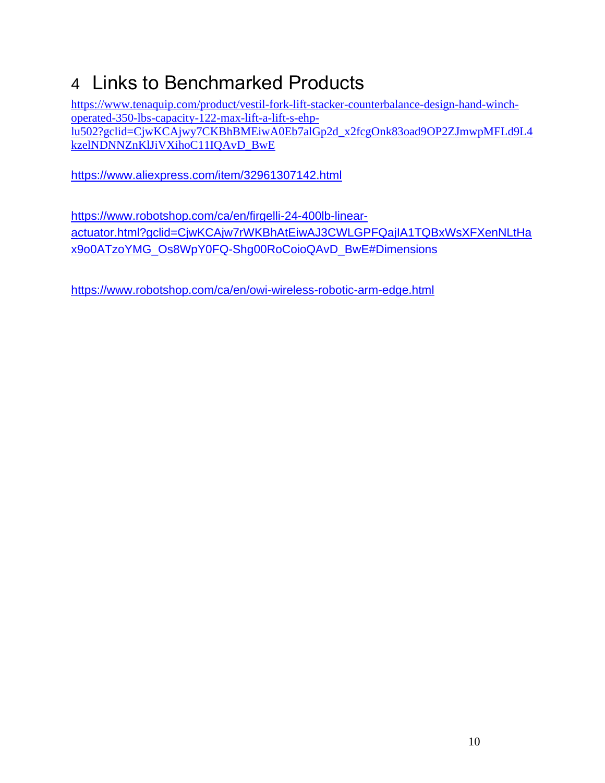# 4 Links to Benchmarked Products

[https://www.tenaquip.com/product/vestil-fork-lift-stacker-counterbalance-design-hand-winch](https://www.tenaquip.com/product/vestil-fork-lift-stacker-counterbalance-design-hand-winch-operated-350-lbs-capacity-122-max-lift-a-lift-s-ehp-lu502?gclid=CjwKCAjwy7CKBhBMEiwA0Eb7alGp2d_x2fcgOnk83oad9OP2ZJmwpMFLd9L4kzelNDNNZnKlJiVXihoC11IQAvD_BwE)[operated-350-lbs-capacity-122-max-lift-a-lift-s-ehp](https://www.tenaquip.com/product/vestil-fork-lift-stacker-counterbalance-design-hand-winch-operated-350-lbs-capacity-122-max-lift-a-lift-s-ehp-lu502?gclid=CjwKCAjwy7CKBhBMEiwA0Eb7alGp2d_x2fcgOnk83oad9OP2ZJmwpMFLd9L4kzelNDNNZnKlJiVXihoC11IQAvD_BwE)[lu502?gclid=CjwKCAjwy7CKBhBMEiwA0Eb7alGp2d\\_x2fcgOnk83oad9OP2ZJmwpMFLd9L4](https://www.tenaquip.com/product/vestil-fork-lift-stacker-counterbalance-design-hand-winch-operated-350-lbs-capacity-122-max-lift-a-lift-s-ehp-lu502?gclid=CjwKCAjwy7CKBhBMEiwA0Eb7alGp2d_x2fcgOnk83oad9OP2ZJmwpMFLd9L4kzelNDNNZnKlJiVXihoC11IQAvD_BwE) [kzelNDNNZnKlJiVXihoC11IQAvD\\_BwE](https://www.tenaquip.com/product/vestil-fork-lift-stacker-counterbalance-design-hand-winch-operated-350-lbs-capacity-122-max-lift-a-lift-s-ehp-lu502?gclid=CjwKCAjwy7CKBhBMEiwA0Eb7alGp2d_x2fcgOnk83oad9OP2ZJmwpMFLd9L4kzelNDNNZnKlJiVXihoC11IQAvD_BwE)

<https://www.aliexpress.com/item/32961307142.html>

[https://www.robotshop.com/ca/en/firgelli-24-400lb-linear](https://www.robotshop.com/ca/en/firgelli-24-400lb-linear-actuator.html?gclid=CjwKCAjw7rWKBhAtEiwAJ3CWLGPFQajIA1TQBxWsXFXenNLtHax9o0ATzoYMG_Os8WpY0FQ-Shg00RoCoioQAvD_BwE#Dimensions)[actuator.html?gclid=CjwKCAjw7rWKBhAtEiwAJ3CWLGPFQajIA1TQBxWsXFXenNLtHa](https://www.robotshop.com/ca/en/firgelli-24-400lb-linear-actuator.html?gclid=CjwKCAjw7rWKBhAtEiwAJ3CWLGPFQajIA1TQBxWsXFXenNLtHax9o0ATzoYMG_Os8WpY0FQ-Shg00RoCoioQAvD_BwE#Dimensions) [x9o0ATzoYMG\\_Os8WpY0FQ-Shg00RoCoioQAvD\\_BwE#Dimensions](https://www.robotshop.com/ca/en/firgelli-24-400lb-linear-actuator.html?gclid=CjwKCAjw7rWKBhAtEiwAJ3CWLGPFQajIA1TQBxWsXFXenNLtHax9o0ATzoYMG_Os8WpY0FQ-Shg00RoCoioQAvD_BwE#Dimensions)

<https://www.robotshop.com/ca/en/owi-wireless-robotic-arm-edge.html>